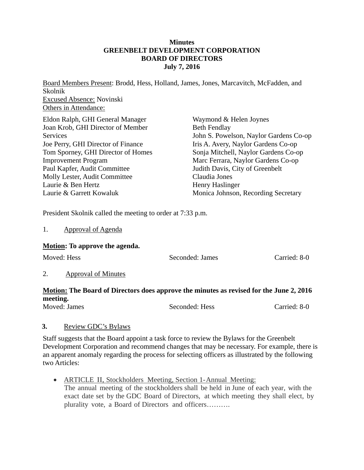## **Minutes GREENBELT DEVELOPMENT CORPORATION BOARD OF DIRECTORS July 7, 2016**

Board Members Present: Brodd, Hess, Holland, James, Jones, Marcavitch, McFadden, and Skolnik Excused Absence: Novinski Others in Attendance:

| Eldon Ralph, GHI General Manager   | Waymond & Helen Joynes                 |
|------------------------------------|----------------------------------------|
| Joan Krob, GHI Director of Member  | <b>Beth Fendlay</b>                    |
| Services                           | John S. Powelson, Naylor Gardens Co-op |
| Joe Perry, GHI Director of Finance | Iris A. Avery, Naylor Gardens Co-op    |
| Tom Sporney, GHI Director of Homes | Sonja Mitchell, Naylor Gardens Co-op   |
| <b>Improvement Program</b>         | Marc Ferrara, Naylor Gardens Co-op     |
| Paul Kapfer, Audit Committee       | Judith Davis, City of Greenbelt        |
| Molly Lester, Audit Committee      | Claudia Jones                          |
| Laurie & Ben Hertz                 | <b>Henry Haslinger</b>                 |
| Laurie & Garrett Kowaluk           | Monica Johnson, Recording Secretary    |

President Skolnik called the meeting to order at 7:33 p.m.

| Approval of Agenda |
|--------------------|
|--------------------|

## **Motion: To approve the agenda.**

| Moved: Hess |                     | Seconded: James | Carried: 8-0 |
|-------------|---------------------|-----------------|--------------|
|             | Approval of Minutes |                 |              |

## **Motion: The Board of Directors does approve the minutes as revised for the June 2, 2016 meeting.**

Moved: James Seconded: Hess Carried: 8-0

## **3.** Review GDC's Bylaws

Staff suggests that the Board appoint a task force to review the Bylaws for the Greenbelt Development Corporation and recommend changes that may be necessary. For example, there is an apparent anomaly regarding the process for selecting officers as illustrated by the following two Articles:

 ARTICLE II, Stockholders Meeting, Section 1-Annual Meeting: The annual meeting of the stockholders shall be held in June of each year, with the exact date set by the GDC Board of Directors, at which meeting they shall elect, by plurality vote, a Board of Directors and officers……….